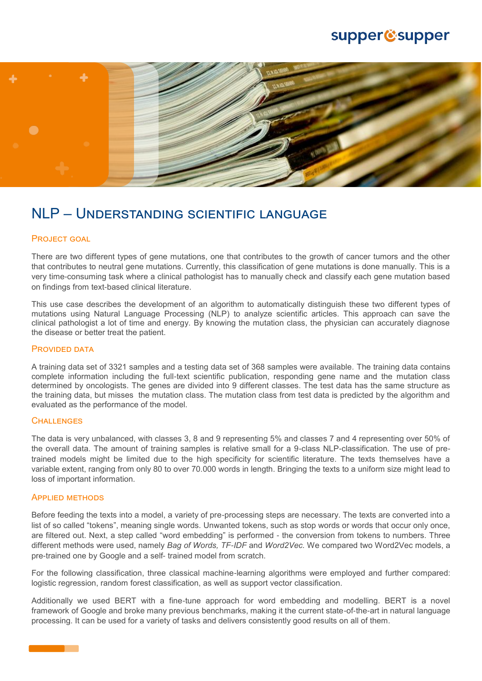# supper@supper



# NLP – Understanding scientific language

# PROJECT GOAL

There are two different types of gene mutations, one that contributes to the growth of cancer tumors and the other that contributes to neutral gene mutations. Currently, this classification of gene mutations is done manually. This is a very time-consuming task where a clinical pathologist has to manually check and classify each gene mutation based on findings from text-based clinical literature.

This use case describes the development of an algorithm to automatically distinguish these two different types of mutations using Natural Language Processing (NLP) to analyze scientific articles. This approach can save the clinical pathologist a lot of time and energy. By knowing the mutation class, the physician can accurately diagnose the disease or better treat the patient.

#### PROVIDED DATA

A training data set of 3321 samples and a testing data set of 368 samples were available. The training data contains complete information including the full-text scientific publication, responding gene name and the mutation class determined by oncologists. The genes are divided into 9 different classes. The test data has the same structure as the training data, but misses the mutation class. The mutation class from test data is predicted by the algorithm and evaluated as the performance of the model.

# **CHALLENGES**

The data is very unbalanced, with classes 3, 8 and 9 representing 5% and classes 7 and 4 representing over 50% of the overall data. The amount of training samples is relative small for a 9-class NLP-classification. The use of pretrained models might be limited due to the high specificity for scientific literature. The texts themselves have a variable extent, ranging from only 80 to over 70.000 words in length. Bringing the texts to a uniform size might lead to loss of important information.

#### Applied methods

Before feeding the texts into a model, a variety of pre-processing steps are necessary. The texts are converted into a list of so called "tokens", meaning single words. Unwanted tokens, such as stop words or words that occur only once, are filtered out. Next, a step called "word embedding" is performed - the conversion from tokens to numbers. Three different methods were used, namely *Bag of Words, TF-IDF* and *Word2Vec.* We compared two Word2Vec models, a pre-trained one by Google and a self- trained model from scratch.

For the following classification, three classical machine-learning algorithms were employed and further compared: logistic regression, random forest classification, as well as support vector classification.

Additionally we used BERT with a fine-tune approach for word embedding and modelling. BERT is a novel framework of Google and broke many previous benchmarks, making it the current state-of-the-art in natural language processing. It can be used for a variety of tasks and delivers consistently good results on all of them.